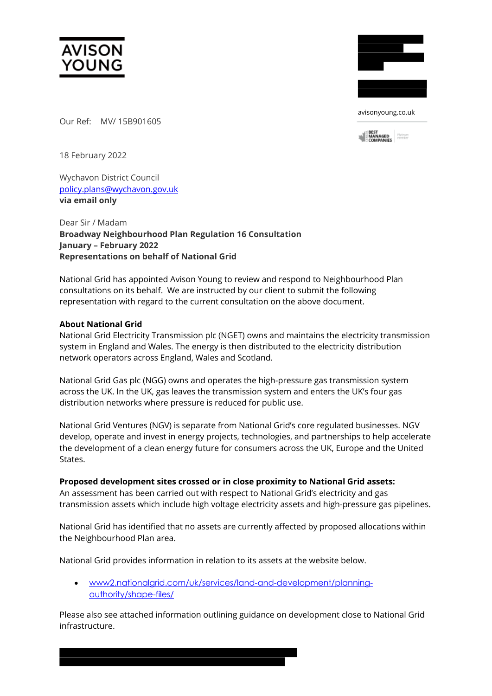



avisonyoung.co.uk



Our Ref: MV/ 15B901605

18 February 2022

Wychavon District Council [policy.plans@wychavon.gov.uk](mailto:policy.plans@wychavon.gov.uk) **via email only** 

Dear Sir / Madam **Broadway Neighbourhood Plan Regulation 16 Consultation January – February 2022 Representations on behalf of National Grid**

National Grid has appointed Avison Young to review and respond to Neighbourhood Plan consultations on its behalf. We are instructed by our client to submit the following representation with regard to the current consultation on the above document.

# **About National Grid**

National Grid Electricity Transmission plc (NGET) owns and maintains the electricity transmission system in England and Wales. The energy is then distributed to the electricity distribution network operators across England, Wales and Scotland.

National Grid Gas plc (NGG) owns and operates the high-pressure gas transmission system across the UK. In the UK, gas leaves the transmission system and enters the UK's four gas distribution networks where pressure is reduced for public use.

National Grid Ventures (NGV) is separate from National Grid's core regulated businesses. NGV develop, operate and invest in energy projects, technologies, and partnerships to help accelerate the development of a clean energy future for consumers across the UK, Europe and the United **States** 

## **Proposed development sites crossed or in close proximity to National Grid assets:**

An assessment has been carried out with respect to National Grid's electricity and gas transmission assets which include high voltage electricity assets and high-pressure gas pipelines.

National Grid has identified that no assets are currently affected by proposed allocations within the Neighbourhood Plan area.

National Grid provides information in relation to its assets at the website below.

• [www2.nationalgrid.com/uk/services/land-and-development/planning](http://www2.nationalgrid.com/uk/services/land-and-development/planning-authority/shape-files/)[authority/shape-files/](http://www2.nationalgrid.com/uk/services/land-and-development/planning-authority/shape-files/)

Please also see attached information outlining guidance on development close to National Grid infrastructure.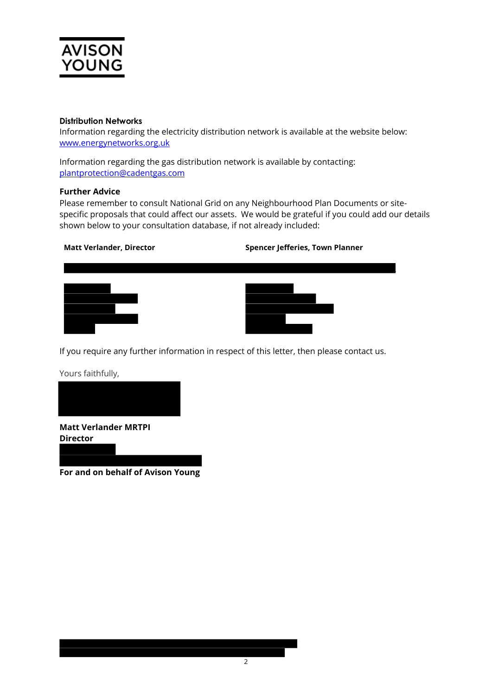

## **Distribution Networks**

Information regarding the electricity distribution network is available at the website below: [www.energynetworks.org.uk](http://www.energynetworks.org.uk/)

Information regarding the gas distribution network is available by contacting: [plantprotection@cadentgas.com](mailto:plantprotection@cadentgas.com)

## **Further Advice**

Please remember to consult National Grid on any Neighbourhood Plan Documents or sitespecific proposals that could affect our assets. We would be grateful if you could add our details shown below to your consultation database, if not already included:

**Matt Verlander, Director Spencer Jefferies, Town Planner**





If you require any further information in respect of this letter, then please contact us.

Yours faithfully,



**Matt Verlander MRTPI Director**

**For and on behalf of Avison Young**